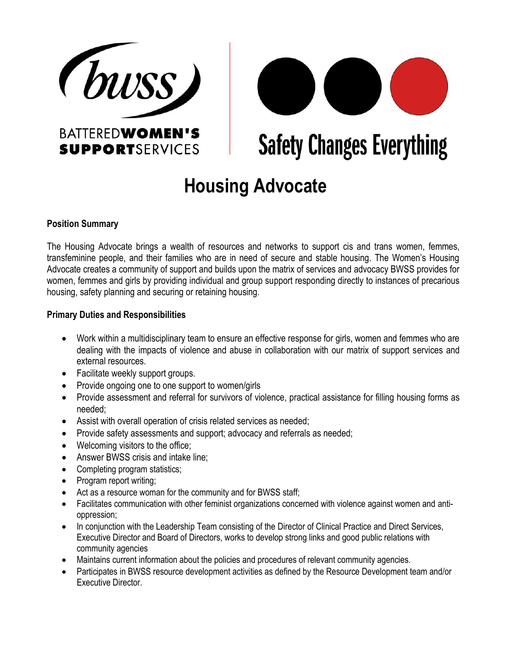



# **Safety Changes Everything**

# **Housing Advocate**

# **Position Summary**

The Housing Advocate brings a wealth of resources and networks to support cis and trans women, femmes, transfeminine people, and their families who are in need of secure and stable housing. The Women's Housing Advocate creates a community of support and builds upon the matrix of services and advocacy BWSS provides for women, femmes and girls by providing individual and group support responding directly to instances of precarious housing, safety planning and securing or retaining housing.

# **Primary Duties and Responsibilities**

- Work within a multidisciplinary team to ensure an effective response for girls, women and femmes who are dealing with the impacts of violence and abuse in collaboration with our matrix of support services and external resources.
- Facilitate weekly support groups.
- Provide ongoing one to one support to women/girls
- Provide assessment and referral for survivors of violence, practical assistance for filling housing forms as needed;
- Assist with overall operation of crisis related services as needed;
- Provide safety assessments and support; advocacy and referrals as needed;
- Welcoming visitors to the office:
- Answer BWSS crisis and intake line;
- Completing program statistics;
- Program report writing;
- Act as a resource woman for the community and for BWSS staff;
- Facilitates communication with other feminist organizations concerned with violence against women and antioppression;
- In conjunction with the Leadership Team consisting of the Director of Clinical Practice and Direct Services, Executive Director and Board of Directors, works to develop strong links and good public relations with community agencies
- Maintains current information about the policies and procedures of relevant community agencies.
- Participates in BWSS resource development activities as defined by the Resource Development team and/or Executive Director.